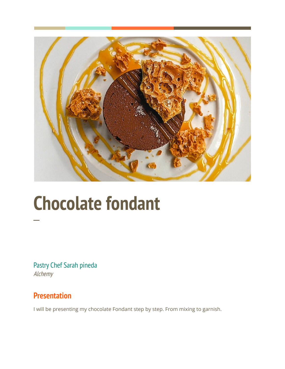

## **Chocolate fondant**

Pastry Chef Sarah pineda Alchemy

## **Presentation**

**─**

I will be presenting my chocolate Fondant step by step. From mixing to garnish.